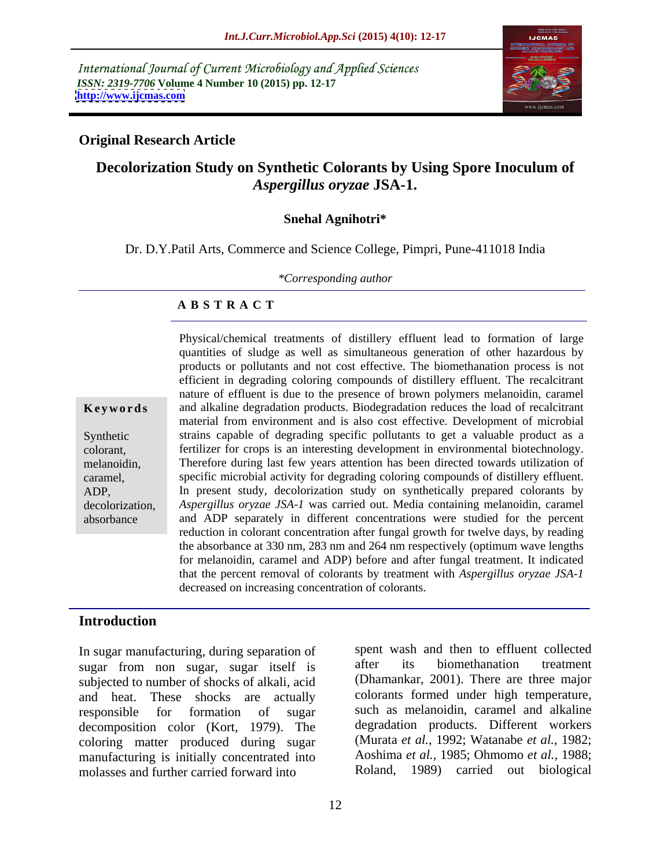International Journal of Current Microbiology and Applied Sciences *ISSN: 2319-7706* **Volume 4 Number 10 (2015) pp. 12-17 <http://www.ijcmas.com>**



#### **Original Research Article**

#### **Decolorization Study on Synthetic Colorants by Using Spore Inoculum of**  *Aspergillus oryzae* **JSA-1.**

#### **Snehal Agnihotri\***

Dr. D.Y.Patil Arts, Commerce and Science College, Pimpri, Pune-411018 India

*\*Corresponding author*

#### **A B S T R A C T**

absorbance

Physical/chemical treatments of distillery effluent lead to formation of large quantities of sludge as well as simultaneous generation of other hazardous by products or pollutants and not cost effective. The biomethanation process is not efficient in degrading coloring compounds of distillery effluent. The recalcitrant nature of effluent is due to the presence of brown polymers melanoidin, caramel and alkaline degradation products. Biodegradation reduces the load of recalcitrant **Ke ywo rds** material from environment and is also cost effective. Development of microbial Synthetic strains capable of degrading specific pollutants to get a valuable product as a fertilizer for crops is an interesting development in environmental biotechnology. colorant, Therefore during last few years attention has been directed towards utilization of melanoidin, caramel, specific microbial activity for degrading coloring compounds of distillery effluent. In present study, decolorization study on synthetically prepared colorants by ADP, *Aspergillus oryzae JSA-1* was carried out. Media containing melanoidin, caramel decolorization, and ADP separately in different concentrations were studied for the percent reduction in colorant concentration after fungal growth for twelve days, by reading the absorbance at 330 nm, 283 nm and 264 nm respectively (optimum wave lengths for melanoidin, caramel and ADP) before and after fungal treatment. It indicated that the percent removal of colorants by treatment with *Aspergillus oryzae JSA-1* decreased on increasing concentration of colorants.

#### **Introduction**

In sugar manufacturing, during separation of spent wash and then to effluent collected<br>sugar from non sugar sugar itself is after its biomethanation treatment sugar from non sugar, sugar itself is subjected to number of shocks of alkali, acid and heat. These shocks are actually colorants formed under high temperature, responsible for formation of sugar such as melanoidin, caramel and alkaline decomposition color (Kort, 1979). The coloring matter produced during sugar manufacturing is initially concentrated into molasses and further carried forward into

spent wash and then to effluent collected after its biomethanation treatment (Dhamankar, 2001). There are three major degradation products. Different workers (Murata *et al.,* 1992; Watanabe *et al.,* 1982; Aoshima *et al.,* 1985; Ohmomo *et al.,* 1988; Roland, 1989) carried out biological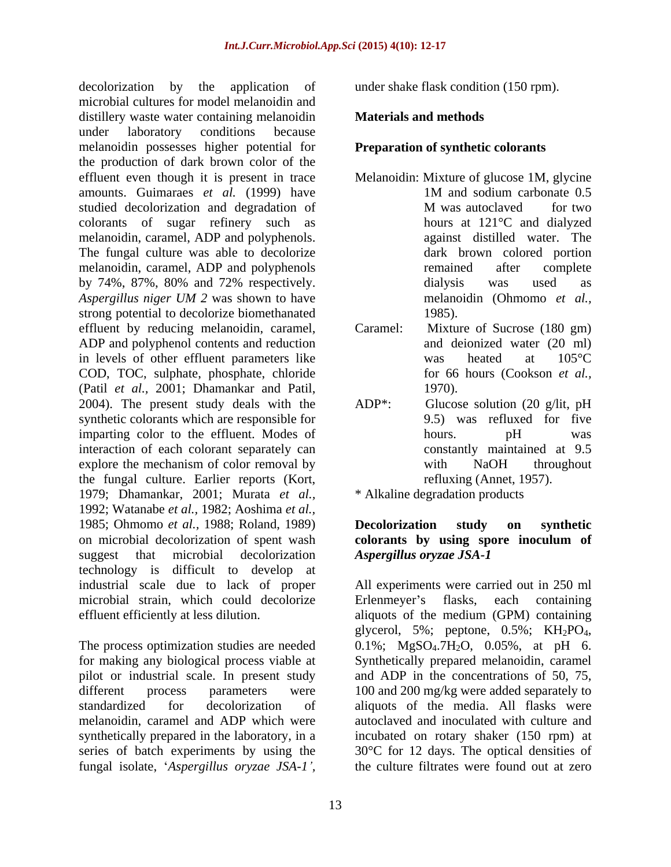decolorization by the application of under shake flask condition (150 rpm). microbial cultures for model melanoidin and distillery waste water containing melanoidin under laboratory conditions because melanoidin possesses higher potential for the production of dark brown color of the effluent even though it is present in trace Melanoidin: Mixture of glucose 1M, glycine amounts. Guimaraes *et al.* (1999) have studied decolorization and degradation of M was autoclaved for two colorants of sugar refinery such as hours at 121 °C and dialyzed melanoidin, caramel, ADP and polyphenols. The fungal culture was able to decolorize melanoidin, caramel, ADP and polyphenols by 74%, 87%, 80% and 72% respectively. *Aspergillus niger UM 2* was shown to have strong potential to decolorize biomethanated 1985). effluent by reducing melanoidin, caramel, Caramel: Mixture of Sucrose (180 gm) ADP and polyphenol contents and reduction in levels of other effluent parameters like was heated at 105 °C COD, TOC, sulphate, phosphate, chloride (Patil *et al.,* 2001; Dhamankar and Patil, 2004). The present study deals with the  $ADP^*$ : Glucose solution (20 g/lit, pH synthetic colorants which are responsible for imparting color to the effluent. Modes of hours. blues blues blues was interaction of each colorant separately can explore the mechanism of color removal by with NaOH throughout the fungal culture. Earlier reports (Kort, 1979; Dhamankar, 2001; Murata *et al.,* 1992; Watanabe *et al.,* 1982; Aoshima *et al.,* 1985; Ohmomo *et al.,* 1988; Roland, 1989) on microbial decolorization of spent wash colorants by using spore inoculum of suggest that microbial decolorization Aspergillus oryzae JSA-1 technology is difficult to develop at industrial scale due to lack of proper All experiments were carried out in 250 ml microbial strain, which could decolorize Erlenmeyer's flasks, each containing

The process optimization studies are needed  $0.1\%$ ;  $MgSO<sub>4</sub>·7H<sub>2</sub>O$ ,  $0.05\%$ , at pH 6. for making any biological process viable at Synthetically prepared melanoidin, caramel pilot or industrial scale. In present study and ADP in the concentrations of 50, 75, different process parameters were 100 and 200 mg/kg were added separately to standardized for decolorization of aliquots of the media. All flasks were melanoidin, caramel and ADP which were autoclaved and inoculated with culture and synthetically prepared in the laboratory, in a incubated on rotary shaker (150 rpm) at series of batch experiments by using the 30°C for 12 days. The optical densities of fungal isolate, *Aspergillus oryzae JSA-1 ,*

#### **Materials and methods**

#### **Preparation of synthetic colorants**

- 1M and sodium carbonate 0.5 M was autoclaved for two hours at 121°C and dialyzed against distilled water. The dark brown colored portion remained after complete dialysis was used as melanoidin (Ohmomo *et al.,*
- 1985). Caramel: Mixture of Sucrose (180 gm) and deionized water (20 ml) was heated at 105°C for 66 hours (Cookson *et al.,* 1970).
- $ADP^*$ : Glucose solution (20 g/lit, pH 9.5) was refluxed for five hours. pH was constantly maintained at 9.5 with NaOH throughout refluxing (Annet, 1957).

\* Alkaline degradation products

#### **Decolorization study on synthetic colorants by using spore inoculum of** *Aspergillus oryzae JSA-1*

effluent efficiently at less dilution. aliquots of the medium (GPM) containing Erlenmeyer's flasks, each containing glycerol, 5%; peptone, 0.5%; KH<sub>2</sub>PO<sub>4</sub>,<br>0.1%; MgSO<sub>4</sub>.7H<sub>2</sub>O, 0.05%, at pH 6. the culture filtrates were found out at zero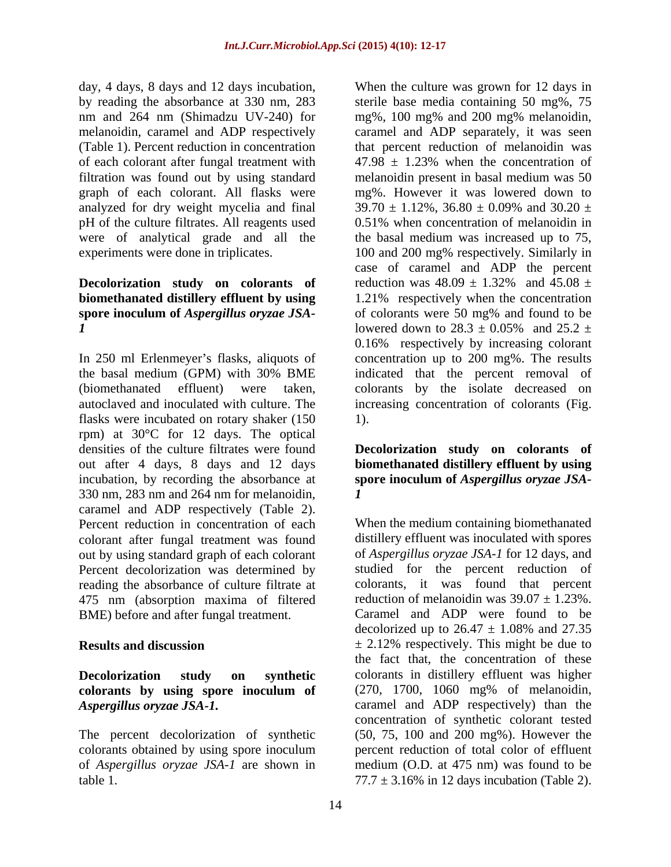(Table 1). Percent reduction in concentration of each colorant after fungal treatment with  $47.98 \pm 1.23$ % when the concentration of analyzed for dry weight mycelia and final  $39.70 \pm 1.12\%$ ,  $36.80 \pm 0.09\%$  and  $30.20 \pm 1.12\%$ pH of the culture filtrates. All reagents used were of analytical grade and all the

### **Decolorization study** on **colorants** of reduction was  $48.09 \pm 1.32\%$  and  $45.08 \pm 1.32\%$ *1* lowered down to 28.3  $\pm$  0.05% and 25.2  $\pm$

flasks were incubated on rotary shaker (150  $\qquad$  1). rpm) at 30°C for 12 days. The optical densities of the culture filtrates were found **Decolorization study on colorants of** out after 4 days, 8 days and 12 days **biomethanated distillery effluent by using** incubation, by recording the absorbance at **spore inoculum of** *Aspergillus oryzae JSA-* 330 nm, 283 nm and 264 nm for melanoidin, caramel and ADP respectively (Table 2). colorant after fungal treatment was found out by using standard graph of each colorant Percent decolorization was determined by reading the absorbance of culture filtrate at 475 nm (absorption maxima of filtered

## **colorants by using spore inoculum of**

colorants obtained by using spore inoculum

day, 4 days, 8 days and 12 days incubation, When the culture was grown for 12 days in by reading the absorbance at 330 nm, 283 sterile base media containing 50 mg%, 75 nm and 264 nm (Shimadzu UV-240) for mg%, 100 mg% and 200 mg% melanoidin, melanoidin, caramel and ADP respectively caramel and ADP separately, it was seen filtration was found out by using standard melanoidin present in basal medium was 50 graph of each colorant. All flasks were mg%. However it was lowered down to experiments were done in triplicates. 100 and 200 mg% respectively. Similarly in **biomethanated distillery effluent by using** 1.21% respectively when the concentration **spore inoculum of** *Aspergillus oryzae JSA-* of colorants were 50 mg% and found to be In 250 ml Erlenmeyer's flasks, aliquots of concentration up to 200 mg%. The results the basal medium (GPM) with 30% BME indicated that the percent removal of (biomethanated effluent) were taken, colorants by the isolate decreased on autoclaved and inoculated with culture. The increasing concentration of colorants (Fig. that percent reduction of melanoidin was  $47.98 \pm 1.23\%$  when the concentration of  $39.70 \pm 1.12\%$ ,  $36.80 \pm 0.09\%$  and  $30.20 \pm 1.02\%$ 0.51% when concentration of melanoidin in the basal medium was increased up to 75, case of caramel and ADP the percent reduction was  $48.09 \pm 1.32\%$  and  $45.08 \pm 1.32\%$ lowered down to  $28.3 \pm 0.05\%$  and  $25.2 \pm$ 0.16% respectively by increasing colorant 1).

# *1*

Percent reduction in concentration of each When the medium containing biomethanated BME) before and after fungal treatment. Caramel and ADP were found to be decolorized up to  $26.47 \pm 1.08\%$  and  $27.35$ **Results and discussion**  $\pm 2.12\%$  respectively. This might be due to **Decolorization study on synthetic** colorants in distillery effluent was higher *Aspergillus oryzae JSA-1.* caramel and ADP respectively) than the The percent decolorization of synthetic (50, 75, 100 and 200 mg%). However the of *Aspergillus oryzae JSA-1* are shown in medium (O.D. at 475 nm) was found to be table 1.  $77.7 \pm 3.16\%$  in 12 days incubation (Table 2). distillery effluent was inoculated with spores of *Aspergillus oryzae JSA-1* for 12 days, and studied for the percent reduction of colorants, it was found that percent reduction of melanoidin was  $39.07 \pm 1.23\%$ . Caramel and ADP were found to be decolorized up to  $26.47 \pm 1.08\%$  and  $27.35$ the fact that, the concentration of these (270, 1700, 1060 mg% of melanoidin, concentration of synthetic colorant tested percent reduction of total color of effluent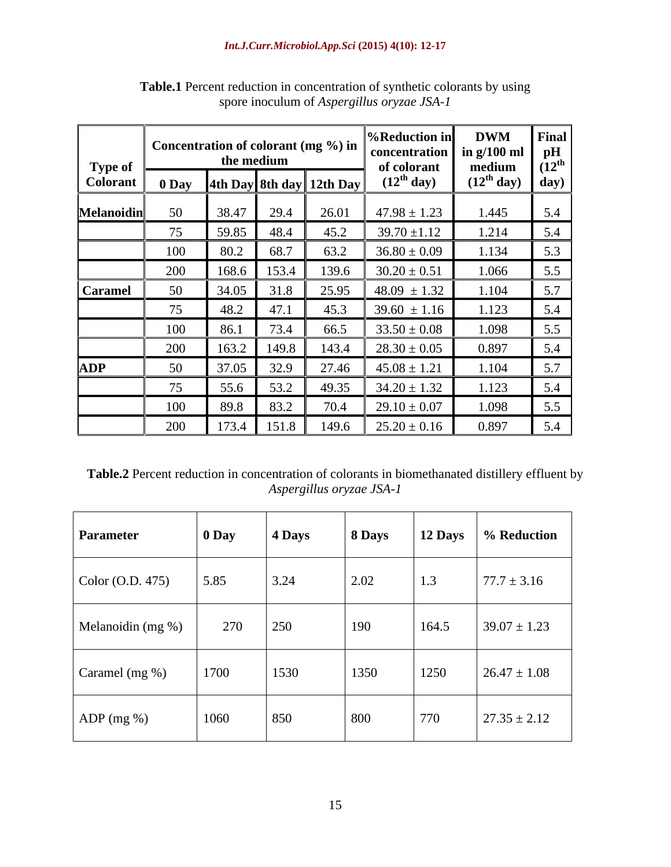|                   | Concentration of colorant (mg %) in |       |                           |                                                                                      | <b>%Reduction in</b>                        | <b>DWM</b>             | Final                                 |
|-------------------|-------------------------------------|-------|---------------------------|--------------------------------------------------------------------------------------|---------------------------------------------|------------------------|---------------------------------------|
| <b>Type of</b>    |                                     |       | the medium                |                                                                                      | concentration $\ln g/100$ ml<br>of colorant | medium                 | $ $ pH<br>$\overline{1}2^{\text{th}}$ |
| <b>Colorant</b>   |                                     |       |                           | $\begin{array}{ c c c c c c } \hline 0$ Day $\end{array}$ 4th Day 8th day   12th Day | $(12th$ day)                                | (12 <sup>th</sup> day) | $\int day$                            |
| <b>Melanoidin</b> |                                     | 38.47 | 29.4                      | 26.01                                                                                | $47.98 \pm 1.23$                            | 1.445                  | $\vert 5.4 \vert$                     |
|                   |                                     | 59.85 | 48.4                      | 45.2                                                                                 | $39.70 \pm 1.12$                            | 1.214                  | $\vert 5.4 \vert$                     |
|                   | 100                                 | 80.2  | 68.7                      | 63.2                                                                                 | $36.80 \pm 0.09$                            | 1.134                  | $\vert 5.3 \vert$                     |
|                   | 200                                 | 168.6 | 153.4                     | 139.6                                                                                | $30.20 \pm 0.51$                            | 1.066                  | 5.5                                   |
| <b>Caramel</b>    |                                     | 34.05 |                           | 25.95                                                                                | $48.09 \pm 1.32$                            | 1.104                  | 1, 5.7                                |
|                   |                                     | 48.2  | $\overline{A}$<br>47.1    | 45.3                                                                                 | $39.60 \pm 1.16$                            | 1.123                  | $\vert 5.4 \vert$                     |
|                   | 100                                 | 86.7  | 72 <sub>1</sub><br>-. د ا | 66.5                                                                                 | $33.50 \pm 0.08$                            | 1.098                  | 5.5                                   |
|                   | 200                                 | 163.2 | 149.8                     | 143.4                                                                                | $28.30 \pm 0.05$                            | 0.897                  | $\vert 5.4 \vert$                     |
| <b>ADP</b>        |                                     | 37.05 | 32.9                      | 27.46                                                                                | $45.08 \pm 1.21$                            | 1.104                  | $\vert 5.7 \vert$                     |
|                   | $\overline{ }$                      | 55.6  | 53.2                      | 49.35                                                                                | $34.20 \pm 1.32$                            | 1.123                  | 5.4                                   |
|                   | 100                                 | 89.8  | 83.2                      | 70.4                                                                                 | $29.10 \pm 0.07$                            | 1.098                  | 1, 5.5                                |
|                   | 200                                 | 173.4 | 151.8                     | 149.6                                                                                | $25.20 \pm 0.16$                            | 0.897                  | $\vert 5.4 \vert$                     |

**Table.1** Percent reduction in concentration of synthetic colorants by using spore inoculum of *Aspergillus oryzae JSA-1*

**Table.2** Percent reduction in concentration of colorants in biomethanated distillery effluent by *Aspergillus oryzae JSA-1*

| Parameter                | $\boldsymbol{0}$ Day | $\vert$ 4 Days | $ 8$ Days | <b>12 Days</b>  | % Reduction      |
|--------------------------|----------------------|----------------|-----------|-----------------|------------------|
| $\vert$ Color (O.D. 475) | 5.85                 | 3.24           | 2.02      | 1.3             | $77.7 \pm 3.16$  |
| Melanoidin (mg %)        | 270                  | 250            | 190       | 164.5           | $39.07 \pm 1.23$ |
| Caramel (mg %)           | 1700                 | 1530           | 1350      | 1250            | $26.47 \pm 1.08$ |
| $ADP$ (mg %)             | 1060                 | 850            | 800       | $\frac{770}{ }$ | $27.35 \pm 2.12$ |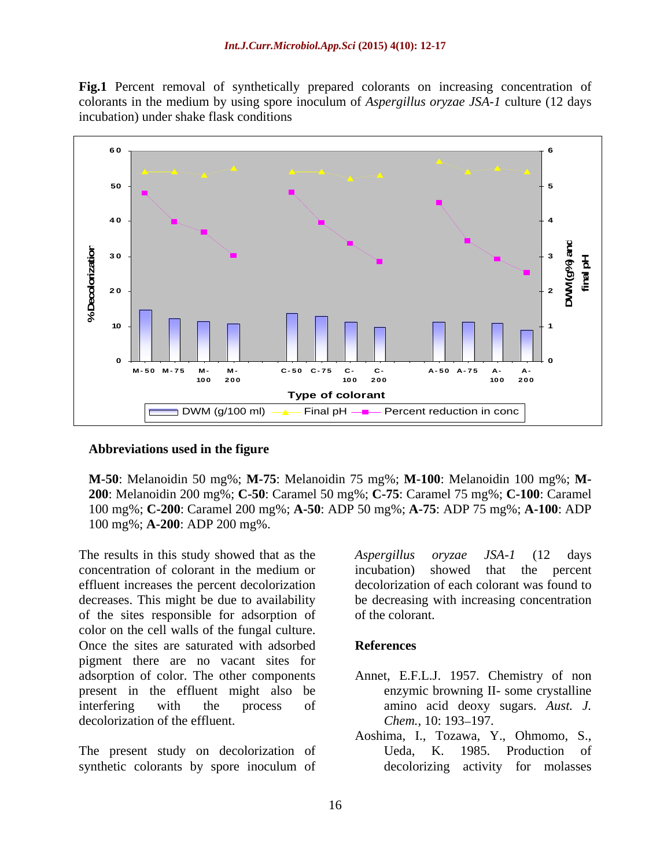**Fig.1** Percent removal of synthetically prepared colorants on increasing concentration of colorants in the medium by using spore inoculum of *Aspergillus oryzae JSA-1* culture (12 days incubation) under shake flask conditions



#### **Abbreviations used in the figure**

**M-50**: Melanoidin 50 mg%; **M-75**: Melanoidin 75 mg%; **M-100**: Melanoidin 100 mg%; **M- 200**: Melanoidin 200 mg%; **C-50**: Caramel 50 mg%; **C-75**: Caramel 75 mg%; **C-100**: Caramel 100 mg%; **C-200**: Caramel 200 mg%; **A-50**: ADP 50 mg%; **A-75**: ADP 75 mg%; **A-100**: ADP 100 mg%; **A-200**: ADP 200 mg%.

The results in this study showed that as the *Aspergillus oryzae JSA-1* (12 days concentration of colorant in the medium or effluent increases the percent decolorization decreases. This might be due to availability be decreasing with increasing concentration of the sites responsible for adsorption of color on the cell walls of the fungal culture. Once the sites are saturated with adsorbed References pigment there are no vacant sites for adsorption of color. The other components Annet, E.F.L.J. 1957. Chemistry of non present in the effluent might also be interfering with the process of amino acid deoxy sugars. Aust. J. decolorization of the effluent. Chem., 10: 193–197.

synthetic colorants by spore inoculum of decolorizing activity for molasses

*Aspergillus oryzae JSA-1* (12 days incubation) showed that the percent decolorization of each colorant was found to of the colorant.

#### **References**

- enzymic browning II- some crystalline amino acid deoxy sugars. *Aust. J.*<br>*Chem.*, 10: 193–197.
- The present study on decolorization of Ueda, K. 1985. Production of Aoshima, I., Tozawa, Y., Ohmomo, S., Ueda, K. 1985. Production of decolorizing activity for molasses